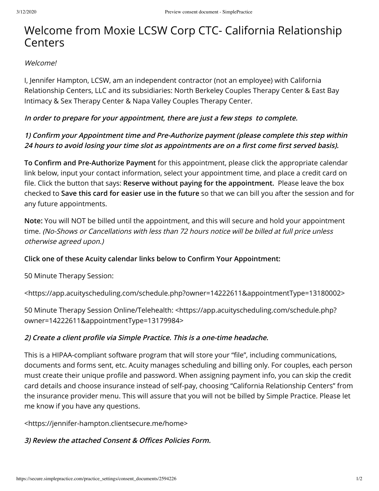# Welcome from Moxie LCSW Corp CTC- California Relationship **Centers**

#### Welcome!

I, Jennifer Hampton, LCSW, am an independent contractor (not an employee) with California Relationship Centers, LLC and its subsidiaries: North Berkeley Couples Therapy Center & East Bay Intimacy & Sex Therapy Center & Napa Valley Couples Therapy Center.

### **In order to prepare for your appointment, there are just a few steps to complete.**

## 1) Confirm your Appointment time and Pre-Authorize payment (please complete this step within 24 hours to avoid losing your time slot as appointments are on a first come first served basis).

To Confirm and Pre-Authorize Payment for this appointment, please click the appropriate calendar link below, input your contact information, select your appointment time, and place a credit card on file. Click the button that says: **Reserve without paying for the appointment**. Please leave the box checked to **Save this card for easier use in the future** so that we can bill you after the session and for any future appointments.

**Note:** You will NOT be billed until the appointment, and this will secure and hold your appointment time. (No-Shows or Cancellations with less than 72 hours notice will be billed at full price unless otherwise agreed upon.)

#### **Click one of these Acuity calendar links below to Confirm Your Appointment:**

50 Minute Therapy Session:

<https://app.acuityscheduling.com/schedule.php?owner=14222611&appointmentType=13180002>

50 Minute Therapy Session Online/Telehealth: <https://app.acuityscheduling.com/schedule.php? owner=14222611&appointmentType=13179984>

#### 2) Create a client profile via Simple Practice. This is a one-time headache.

This is a HIPAA-compliant software program that will store your "file", including communications, documents and forms sent, etc. Acuity manages scheduling and billing only. For couples, each person must create their unique profile and password. When assigning payment info, you can skip the credit card details and choose insurance instead of self-pay, choosing "California Relationship Centers" from the insurance provider menu. This will assure that you will not be billed by Simple Practice. Please let me know if you have any questions.

<https://jennifer-hampton.clientsecure.me/home>

#### **3) Review the attached Consent & Offices Policies Form.**